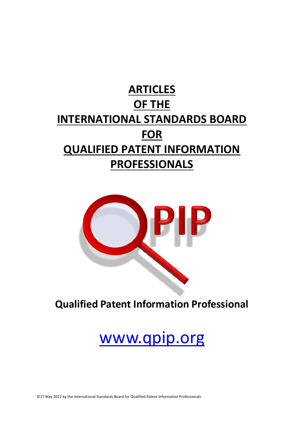## **ARTICLES OF THE INTERNATIONAL STANDARDS BOARD FOR QUALIFIED PATENT INFORMATION PROFESSIONALS**



**Qualified Patent Information Professional**

# www.qpip.org

©17 May 2022 by the International Standards Board for Qualified Patent Information Professionals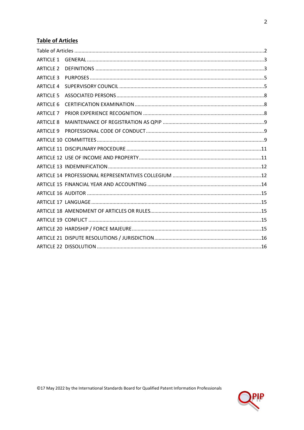## <span id="page-1-0"></span>**Table of Articles**

| <b>ARTICLE 1</b> |  |
|------------------|--|
| <b>ARTICLE 2</b> |  |
| <b>ARTICLE 3</b> |  |
| <b>ARTICLE 4</b> |  |
| <b>ARTICLE 5</b> |  |
| <b>ARTICLE 6</b> |  |
| <b>ARTICLE 7</b> |  |
| <b>ARTICLE 8</b> |  |
| <b>ARTICLE 9</b> |  |
|                  |  |
|                  |  |
|                  |  |
|                  |  |
|                  |  |
|                  |  |
|                  |  |
|                  |  |
|                  |  |
|                  |  |
|                  |  |
|                  |  |
|                  |  |
|                  |  |

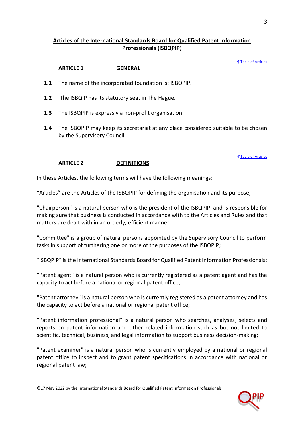## **Articles of the International Standards Board for Qualified Patent Information Professionals (ISBQPIP)**

#### ↑[Table of Articles](#page-1-0)

#### **ARTICLE 1 GENERAL**

- <span id="page-2-0"></span>**1.1** The name of the incorporated foundation is: ISBQPIP.
- **1.2** The ISBQIP has its statutory seat in The Hague.
- **1.3** The ISBQPIP is expressly a non-profit organisation.
- **1.4** The ISBQPIP may keep its secretariat at any place considered suitable to be chosen by the Supervisory Council.

#### ↑[Table of Articles](#page-1-0)

#### **ARTICLE 2 DEFINITIONS**

<span id="page-2-1"></span>In these Articles, the following terms will have the following meanings:

"Articles" are the Articles of the ISBQPIP for defining the organisation and its purpose;

"Chairperson" is a natural person who is the president of the ISBQPIP, and is responsible for making sure that business is conducted in accordance with to the Articles and Rules and that matters are dealt with in an orderly, efficient manner;

"Committee" is a group of natural persons appointed by the Supervisory Council to perform tasks in support of furthering one or more of the purposes of the ISBQPIP;

"ISBQPIP" is the International Standards Board for Qualified Patent Information Professionals;

"Patent agent" is a natural person who is currently registered as a patent agent and has the capacity to act before a national or regional patent office;

"Patent attorney" is a natural person who is currently registered as a patent attorney and has the capacity to act before a national or regional patent office;

"Patent information professional" is a natural person who searches, analyses, selects and reports on patent information and other related information such as but not limited to scientific, technical, business, and legal information to support business decision-making;

"Patent examiner" is a natural person who is currently employed by a national or regional patent office to inspect and to grant patent specifications in accordance with national or regional patent law;

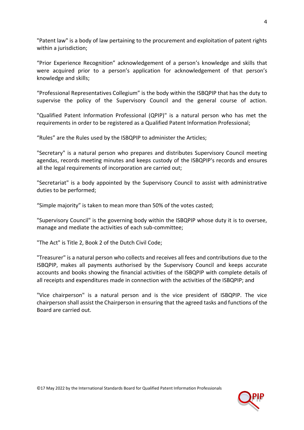"Patent law" is a body of law pertaining to the procurement and exploitation of patent rights within a jurisdiction;

"Prior Experience Recognition" acknowledgement of a person's knowledge and skills that were acquired prior to a person's application for acknowledgement of that person's knowledge and skills;

"Professional Representatives Collegium" is the body within the ISBQPIP that has the duty to supervise the policy of the Supervisory Council and the general course of action.

"Qualified Patent Information Professional (QPIP)" is a natural person who has met the requirements in order to be registered as a Qualified Patent Information Professional;

"Rules" are the Rules used by the ISBQPIP to administer the Articles;

"Secretary" is a natural person who prepares and distributes Supervisory Council meeting agendas, records meeting minutes and keeps custody of the ISBQPIP's records and ensures all the legal requirements of incorporation are carried out;

"Secretariat" is a body appointed by the Supervisory Council to assist with administrative duties to be performed;

"Simple majority" is taken to mean more than 50% of the votes casted;

"Supervisory Council" is the governing body within the ISBQPIP whose duty it is to oversee, manage and mediate the activities of each sub-committee;

"The Act" is Title 2, Book 2 of the Dutch Civil Code;

"Treasurer" is a natural person who collects and receives all fees and contributions due to the ISBQPIP, makes all payments authorised by the Supervisory Council and keeps accurate accounts and books showing the financial activities of the ISBQPIP with complete details of all receipts and expenditures made in connection with the activities of the ISBQPIP; and

"Vice chairperson" is a natural person and is the vice president of ISBQPIP. The vice chairperson shall assist the Chairperson in ensuring that the agreed tasks and functions of the Board are carried out.

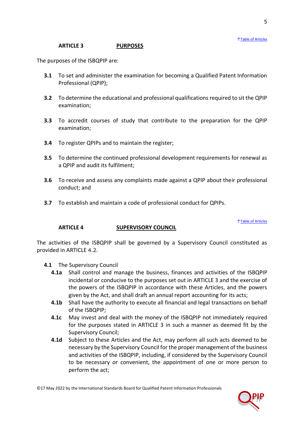5

## **ARTICLE 3 PURPOSES**

<span id="page-4-0"></span>The purposes of the ISBQPIP are:

- **3.1** To set and administer the examination for becoming a Qualified Patent Information Professional (QPIP);
- **3.2** To determine the educational and professional qualifications required to sit the QPIP examination;
- **3.3** To accredit courses of study that contribute to the preparation for the QPIP examination;
- **3.4** To register QPIPs and to maintain the register;
- **3.5** To determine the continued professional development requirements for renewal as a QPIP and audit its fulfilment;
- **3.6** To receive and assess any complaints made against a QPIP about their professional conduct; and
- **3.7** To establish and maintain a code of professional conduct for QPIPs.

↑[Table of Articles](#page-1-0)

## **ARTICLE 4 SUPERVISORY COUNCIL**

<span id="page-4-1"></span>The activities of the ISBQPIP shall be governed by a Supervisory Council constituted as provided in ARTICLE [4.2](#page-5-0).

- <span id="page-4-2"></span>**4.1** The Supervisory Council
	- **4.1a** Shall control and manage the business, finances and activities of the ISBQPIP incidental or conducive to the purposes set out in [ARTICLE 3](#page-4-0) and the exercise of the powers of the ISBQPIP in accordance with these Articles, and the powers given by the Act, and shall draft an annual report accounting for its acts;
	- **4.1b** Shall have the authority to execute all financial and legal transactions on behalf of the ISBQPIP;
	- **4.1c** May invest and deal with the money of the ISBQPIP not immediately required for the purposes stated in [ARTICLE 3](#page-4-0) in such a manner as deemed fit by the Supervisory Council;
	- **4.1d** Subject to these Articles and the Act, may perform all such acts deemed to be necessary by the Supervisory Council for the proper management of the business and activities of the ISBQPIP, including, if considered by the Supervisory Council to be necessary or convenient, the appointment of one or more person to perform the act;

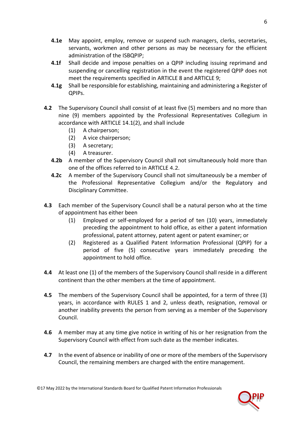- **4.1e** May appoint, employ, remove or suspend such managers, clerks, secretaries, servants, workmen and other persons as may be necessary for the efficient administration of the ISBQPIP;
- **4.1f** Shall decide and impose penalties on a QPIP including issuing reprimand and suspending or cancelling registration in the event the registered QPIP does not meet the requirements specified in [ARTICLE 8](#page-8-0) and [ARTICLE 9;](#page-8-1)
- <span id="page-5-0"></span>**4.1g** Shall be responsible for establishing, maintaining and administering a Register of QPIPs.
- <span id="page-5-1"></span>**4.2** The Supervisory Council shall consist of at least five (5) members and no more than nine (9) members appointed by the Professional Representatives Collegium in accordance with ARTICLE 14.1(2), and shall include
	- (1) A chairperson;
	- (2) A vice chairperson;
	- (3) A secretary;
	- (4) A treasurer.
	- **4.2b** A member of the Supervisory Council shall not simultaneously hold more than one of the offices referred to in ARTICLE [4.2](#page-5-0).
	- **4.2c** A member of the Supervisory Council shall not simultaneously be a member of the Professional Representative Collegium and/or the Regulatory and Disciplinary Committee.
- **4.3** Each member of the Supervisory Council shall be a natural person who at the time of appointment has either been
	- (1) Employed or self-employed for a period of ten (10) years, immediately preceding the appointment to hold office, as either a patent information professional, patent attorney, patent agent or patent examiner; or
	- (2) Registered as a Qualified Patent Information Professional (QPIP) for a period of five (5) consecutive years immediately preceding the appointment to hold office.
- **4.4** At least one (1) of the members of the Supervisory Council shall reside in a different continent than the other members at the time of appointment.
- <span id="page-5-2"></span>**4.5** The members of the Supervisory Council shall be appointed, for a term of three (3) years, in accordance with RULES 1 and 2, unless death, resignation, removal or another inability prevents the person from serving as a member of the Supervisory Council.
- **4.6** A member may at any time give notice in writing of his or her resignation from the Supervisory Council with effect from such date as the member indicates.
- **4.7** In the event of absence or inability of one or more of the members of the Supervisory Council, the remaining members are charged with the entire management.

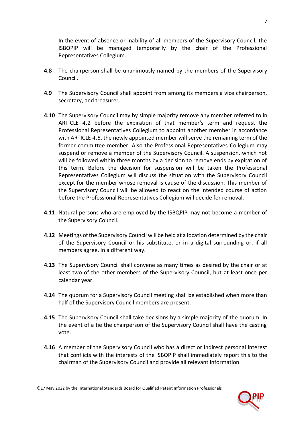In the event of absence or inability of all members of the Supervisory Council, the ISBQPIP will be managed temporarily by the chair of the Professional Representatives Collegium.

- **4.8** The chairperson shall be unanimously named by the members of the Supervisory Council.
- **4.9** The Supervisory Council shall appoint from among its members a vice chairperson, secretary, and treasurer.
- **4.10** The Supervisory Council may by simple majority remove any member referred to in ARTICLE [4.2](#page-5-1) before the expiration of that member's term and request the Professional Representatives Collegium to appoint another member in accordance with ARTICLE [4.5](#page-5-2), the newly appointed member will serve the remaining term of the former committee member. Also the Professional Representatives Collegium may suspend or remove a member of the Supervisory Council. A suspension, which not will be followed within three months by a decision to remove ends by expiration of this term. Before the decision for suspension will be taken the Professional Representatives Collegium will discuss the situation with the Supervisory Council except for the member whose removal is cause of the discussion. This member of the Supervisory Council will be allowed to react on the intended course of action before the Professional Representatives Collegium will decide for removal.
- **4.11** Natural persons who are employed by the ISBQPIP may not become a member of the Supervisory Council.
- **4.12** Meetings of the Supervisory Council will be held at a location determined by the chair of the Supervisory Council or his substitute, or in a digital surrounding or, if all members agree, in a different way.
- **4.13** The Supervisory Council shall convene as many times as desired by the chair or at least two of the other members of the Supervisory Council, but at least once per calendar year.
- **4.14** The quorum for a Supervisory Council meeting shall be established when more than half of the Supervisory Council members are present.
- <span id="page-6-0"></span>**4.15** The Supervisory Council shall take decisions by a simple majority of the quorum. In the event of a tie the chairperson of the Supervisory Council shall have the casting vote.
- **4.16** A member of the Supervisory Council who has a direct or indirect personal interest that conflicts with the interests of the ISBQPIP shall immediately report this to the chairman of the Supervisory Council and provide all relevant information.

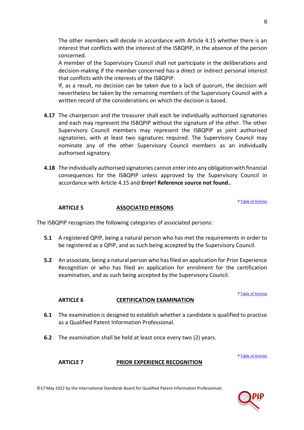The other members will decide in accordance with Article 4.15 whether there is an interest that conflicts with the interest of the ISBQPIP, in the absence of the person concerned.

A member of the Supervisory Council shall not participate in the deliberations and decision-making if the member concerned has a direct or indirect personal interest that conflicts with the interests of the ISBQPIP.

If, as a result, no decision can be taken due to a lack of quorum, the decision will nevertheless be taken by the remaining members of the Supervisory Council with a written record of the considerations on which the decision is based.

- **4.17** The chairperson and the treasurer shall each be individually authorised signatories and each may represent the ISBQPIP without the signature of the other. The other Supervisory Council members may represent the ISBQPIP as joint authorised signatories, with at least two signatures required. The Supervisory Council may nominate any of the other Supervisory Council members as an individually authorised signatory.
- **4.18** The individually authorised signatories cannot enter into any obligation with financial consequences for the ISBQPIP unless approved by the Supervisory Council in accordance with Article [4.15](#page-6-0) and **Error! Reference source not found.**.

↑[Table of Articles](#page-1-0)

#### **ARTICLE 5 ASSOCIATED PERSONS**

<span id="page-7-0"></span>The ISBQPIP recognizes the following categories of associated persons:

- **5.1** A registered QPIP, being a natural person who has met the requirements in order to be registered as a QPIP, and as such being accepted by the Supervisory Council.
- **5.2** An associate, being a natural person who hasfiled an application for Prior Experience Recognition or who has filed an application for enrolment for the certification examination, and as such being accepted by the Supervisory Council.

↑[Table of Articles](#page-1-0)

#### **ARTICLE 6 CERTIFICATION EXAMINATION**

- <span id="page-7-3"></span><span id="page-7-1"></span>**6.1** The examination is designed to establish whether a candidate is qualified to practise as a Qualified Patent Information Professional.
- **6.2** The examination shall be held at least once every two (2) years.

↑[Table of Articles](#page-1-0)

#### <span id="page-7-2"></span>**ARTICLE 7 PRIOR EXPERIENCE RECOGNITION**

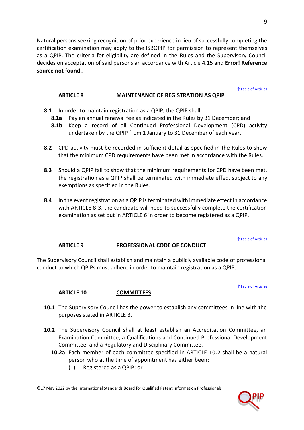Natural persons seeking recognition of prior experience in lieu of successfully completing the certification examination may apply to the ISBQPIP for permission to represent themselves as a QPIP. The criteria for eligibility are defined in the Rules and the Supervisory Council decides on acceptation of said persons an accordance with Article [4.15](#page-6-0) and **Error! Reference source not found.**.

#### ↑[Table of Articles](#page-1-0)

#### **ARTICLE 8 MAINTENANCE OF REGISTRATION AS QPIP**

- <span id="page-8-0"></span>**8.1** In order to maintain registration as a QPIP, the QPIP shall
	- **8.1a** Pay an annual renewal fee as indicated in the Rules by 31 December; and
	- **8.1b** Keep a record of all Continued Professional Development (CPD) activity undertaken by the QPIP from 1 January to 31 December of each year.
- **8.2** CPD activity must be recorded in sufficient detail as specified in the Rules to show that the minimum CPD requirements have been met in accordance with the Rules.
- <span id="page-8-3"></span>**8.3** Should a QPIP fail to show that the minimum requirements for CPD have been met, the registration as a QPIP shall be terminated with immediate effect subject to any exemptions as specified in the Rules.
- **8.4** In the event registration as a QPIP is terminated with immediate effect in accordance with ARTICLE [8.3](#page-8-3), the candidate will need to successfully complete the certification examination as set out in [ARTICLE 6](#page-7-1) in order to become registered as a QPIP.

#### ↑[Table of Articles](#page-1-0)

## **ARTICLE 9 PROFESSIONAL CODE OF CONDUCT**

<span id="page-8-1"></span>The Supervisory Council shall establish and maintain a publicly available code of professional conduct to which QPIPs must adhere in order to maintain registration as a QPIP.

#### ↑[Table of Articles](#page-1-0)

#### **ARTICLE 10 COMMITTEES**

- <span id="page-8-5"></span><span id="page-8-2"></span>**10.1** The Supervisory Council has the power to establish any committees in line with the purposes stated in [ARTICLE 3.](#page-4-0)
- **10.2** The Supervisory Council shall at least establish an Accreditation Committee, an Examination Committee, a Qualifications and Continued Professional Development Committee, and a Regulatory and Disciplinary Committee.
	- **10.2a** Each member of each committee specified in ARTICLE [10.2](#page-8-4) shall be a natural person who at the time of appointment has either been:
		- (1) Registered as a QPIP; or

<span id="page-8-4"></span>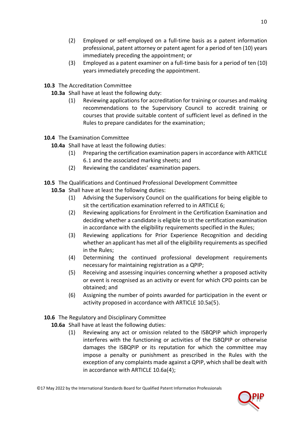- (2) Employed or self-employed on a full-time basis as a patent information professional, patent attorney or patent agent for a period of ten (10) years immediately preceding the appointment; or
- (3) Employed as a patent examiner on a full-time basis for a period of ten (10) years immediately preceding the appointment.
- **10.3** The Accreditation Committee
	- **10.3a** Shall have at least the following duty:
		- (1) Reviewing applications for accreditation for training or courses and making recommendations to the Supervisory Council to accredit training or courses that provide suitable content of sufficient level as defined in the Rules to prepare candidates for the examination;
- **10.4** The Examination Committee
	- **10.4a** Shall have at least the following duties:
		- (1) Preparing the certification examination papers in accordance with ARTICLE [6.1](#page-7-3) and the associated marking sheets; and
		- (2) Reviewing the candidates' examination papers.

## **10.5** The Qualifications and Continued Professional Development Committee

- **10.5a** Shall have at least the following duties:
	- (1) Advising the Supervisory Council on the qualifications for being eligible to sit the certification examination referred to in [ARTICLE 6;](#page-7-1)
	- (2) Reviewing applications for Enrolment in the Certification Examination and deciding whether a candidate is eligible to sit the certification examination in accordance with the eligibility requirements specified in the Rules;
	- (3) Reviewing applications for Prior Experience Recognition and deciding whether an applicant has met all of the eligibility requirements as specified in the Rules;
	- (4) Determining the continued professional development requirements necessary for maintaining registration as a QPIP;
	- (5) Receiving and assessing inquiries concerning whether a proposed activity or event is recognised as an activity or event for which CPD points can be obtained; and
	- (6) Assigning the number of points awarded for participation in the event or activity proposed in accordance with ARTICLE [10.5a\(5](#page-9-0)).
- <span id="page-9-0"></span>**10.6** The Regulatory and Disciplinary Committee
	- **10.6a** Shall have at least the following duties:
		- (1) Reviewing any act or omission related to the ISBQPIP which improperly interferes with the functioning or activities of the ISBQPIP or otherwise damages the ISBQPIP or its reputation for which the committee may impose a penalty or punishment as prescribed in the Rules with the exception of any complaints made against a QPIP, which shall be dealt with in accordance with ARTICLE [10.6a\(4](#page-10-2));

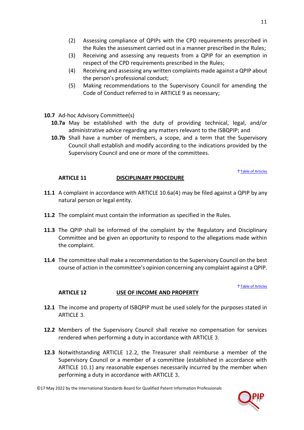- (2) Assessing compliance of QPIPs with the CPD requirements prescribed in the Rules the assessment carried out in a manner prescribed in the Rules;
- (3) Receiving and assessing any requests from a QPIP for an exemption in respect of the CPD requirements prescribed in the Rules;
- <span id="page-10-2"></span>(4) Receiving and assessing any written complaints made against a QPIP about the person's professional conduct;
- (5) Making recommendations to the Supervisory Council for amending the Code of Conduct referred to in [ARTICLE 9](#page-8-1) as necessary;
- **10.7** Ad-hoc Advisory Committee(s)
	- **10.7a** May be established with the duty of providing technical, legal, and/or administrative advice regarding any matters relevant to the ISBQPIP; and
	- **10.7b** Shall have a number of members, a scope, and a term that the Supervisory Council shall establish and modify according to the indications provided by the Supervisory Council and one or more of the committees.

#### ↑[Table of Articles](#page-1-0)

## **ARTICLE 11 DISCIPLINARY PROCEDURE**

- <span id="page-10-0"></span>**11.1** A complaint in accordance with ARTICLE [10.6a\(4](#page-10-2)) may be filed against a QPIP by any natural person or legal entity.
- **11.2** The complaint must contain the information as specified in the Rules.
- **11.3** The QPIP shall be informed of the complaint by the Regulatory and Disciplinary Committee and be given an opportunity to respond to the allegations made within the complaint.
- **11.4** The committee shall make a recommendation to the Supervisory Council on the best course of action in the committee's opinion concerning any complaint against a QPIP.

#### ↑[Table of Articles](#page-1-0)

## **ARTICLE 12 USE OF INCOME AND PROPERTY**

- <span id="page-10-1"></span>**12.1** The income and property of ISBQPIP must be used solely for the purposes stated in [ARTICLE](#page-4-0) 3.
- <span id="page-10-3"></span>**12.2** Members of the Supervisory Council shall receive no compensation for services rendered when performing a duty in accordance with [ARTICLE](#page-4-0) 3.
- **12.3** Notwithstanding ARTICLE [12.2](#page-10-3), the Treasurer shall reimburse a member of the Supervisory Council or a member of a committee (established in accordance with ARTICLE [10.1](#page-8-5)) any reasonable expenses necessarily incurred by the member when performing a duty in accordance with [ARTICLE](#page-4-0) 3.

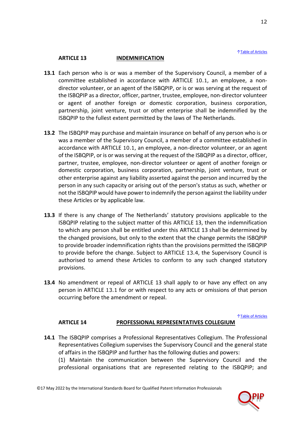#### ↑[Table of Articles](#page-1-0)

## **ARTICLE 13 INDEMNIFICATION**

- <span id="page-11-3"></span><span id="page-11-0"></span>**13.1** Each person who is or was a member of the Supervisory Council, a member of a committee established in accordance with ARTICLE [10.1](#page-8-5), an employee, a nondirector volunteer, or an agent of the ISBQPIP, or is or was serving at the request of the ISBQPIP as a director, officer, partner, trustee, employee, non-director volunteer or agent of another foreign or domestic corporation, business corporation, partnership, joint venture, trust or other enterprise shall be indemnified by the ISBQPIP to the fullest extent permitted by the laws of The Netherlands.
- **13.2** The ISBQPIP may purchase and maintain insurance on behalf of any person who is or was a member of the Supervisory Council, a member of a committee established in accordance with ARTICLE [10.1](#page-8-5), an employee, a non-director volunteer, or an agent of the ISBQPIP, or is or was serving at the request of the ISBQPIP as a director, officer, partner, trustee, employee, non-director volunteer or agent of another foreign or domestic corporation, business corporation, partnership, joint venture, trust or other enterprise against any liability asserted against the person and incurred by the person in any such capacity or arising out of the person's status as such, whether or not the ISBQPIP would have power to indemnify the person against the liability under these Articles or by applicable law.
- **13.3** If there is any change of The Netherlands' statutory provisions applicable to the ISBQPIP relating to the subject matter of this [ARTICLE 13,](#page-11-0) then the indemnification to which any person shall be entitled under this [ARTICLE 13](#page-11-0) shall be determined by the changed provisions, but only to the extent that the change permits the ISBQPIP to provide broader indemnification rights than the provisions permitted the ISBQPIP to provide before the change. Subject to ARTICLE [13.4](#page-11-2), the Supervisory Council is authorised to amend these Articles to conform to any such changed statutory provisions.
- <span id="page-11-2"></span>**13.4** No amendment or repeal of [ARTICLE 13](#page-11-0) shall apply to or have any effect on any person in ARTICLE [13.1](#page-11-3) for or with respect to any acts or omissions of that person occurring before the amendment or repeal.

↑[Table of Articles](#page-1-0)

## **ARTICLE 14 PROFESSIONAL REPRESENTATIVES COLLEGIUM**

- <span id="page-11-1"></span>**14.1** The ISBQPIP comprises a Professional Representatives Collegium. The Professional Representatives Collegium supervises the Supervisory Council and the general state of affairs in the ISBQPIP and further has the following duties and powers: (1) Maintain the communication between the Supervisory Council and the
	- professional organisations that are represented relating to the ISBQPIP; and

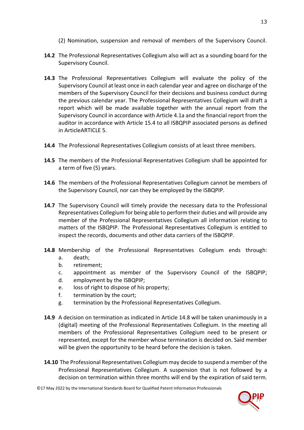- (2) Nomination, suspension and removal of members of the Supervisory Council.
- **14.2** The Professional Representatives Collegium also will act as a sounding board for the Supervisory Council.
- **14.3** The Professional Representatives Collegium will evaluate the policy of the Supervisory Council at least once in each calendar year and agree on discharge of the members of the Supervisory Council for their decisions and business conduct during the previous calendar year. The Professional Representatives Collegium will draft a report which will be made available together with the annual report from the Supervisory Council in accordance with Articl[e 4.1a](#page-4-2) and the financial report from the auditor in accordance with Article [15.4](#page-14-5) to all ISBQPIP associated persons as defined in Articl[eARTICLE 5.](#page-7-0)
- **14.4** The Professional Representatives Collegium consists of at least three members.
- **14.5** The members of the Professional Representatives Collegium shall be appointed for a term of five (5) years.
- **14.6** The members of the Professional Representatives Collegium cannot be members of the Supervisory Council, nor can they be employed by the ISBQPIP.
- **14.7** The Supervisory Council will timely provide the necessary data to the Professional Representatives Collegium for being able to perform their duties and will provide any member of the Professional Representatives Collegium all information relating to matters of the ISBQPIP. The Professional Representatives Collegium is entitled to inspect the records, documents and other data carriers of the ISBQPIP.
- **14.8** Membership of the Professional Representatives Collegium ends through: a. death;
	- b. retirement;
	- c. appointment as member of the Supervisory Council of the ISBQPIP;
	- d. employment by the ISBQPIP;
	- e. loss of right to dispose of his property;
	- f. termination by the court;
	- g. termination by the Professional Representatives Collegium.
- **14.9** A decision on termination as indicated in Article 14.8 will be taken unanimously in a (digital) meeting of the Professional Representatives Collegium. In the meeting all members of the Professional Representatives Collegium need to be present or represented, except for the member whose termination is decided on. Said member will be given the opportunity to be heard before the decision is taken.
- **14.10** The Professional Representatives Collegium may decide to suspend a member of the Professional Representatives Collegium. A suspension that is not followed by a decision on termination within three months will end by the expiration of said term.

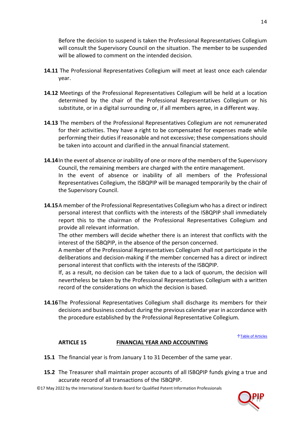Before the decision to suspend is taken the Professional Representatives Collegium will consult the Supervisory Council on the situation. The member to be suspended will be allowed to comment on the intended decision.

- **14.11** The Professional Representatives Collegium will meet at least once each calendar year.
- **14.12** Meetings of the Professional Representatives Collegium will be held at a location determined by the chair of the Professional Representatives Collegium or his substitute, or in a digital surrounding or, if all members agree, in a different way.
- **14.13** The members of the Professional Representatives Collegium are not remunerated for their activities. They have a right to be compensated for expenses made while performing their duties if reasonable and not excessive; these compensations should be taken into account and clarified in the annual financial statement.
- **14.14**In the event of absence or inability of one or more of the members of the Supervisory Council, the remaining members are charged with the entire management. In the event of absence or inability of all members of the Professional Representatives Collegium, the ISBQPIP will be managed temporarily by the chair of the Supervisory Council.
- **14.15**A member of the Professional Representatives Collegium who has a direct or indirect personal interest that conflicts with the interests of the ISBQPIP shall immediately report this to the chairman of the Professional Representatives Collegium and provide all relevant information.

The other members will decide whether there is an interest that conflicts with the interest of the ISBQPIP, in the absence of the person concerned.

A member of the Professional Representatives Collegium shall not participate in the deliberations and decision-making if the member concerned has a direct or indirect personal interest that conflicts with the interests of the ISBQPIP.

If, as a result, no decision can be taken due to a lack of quorum, the decision will nevertheless be taken by the Professional Representatives Collegium with a written record of the considerations on which the decision is based.

**14.16**The Professional Representatives Collegium shall discharge its members for their decisions and business conduct during the previous calendar year in accordance with the procedure established by the Professional Representative Collegium.

↑[Table of Articles](#page-1-0)

## **ARTICLE 15 FINANCIAL YEAR AND ACCOUNTING**

- <span id="page-13-0"></span>**15.1** The financial year is from January 1 to 31 December of the same year.
- **15.2** The Treasurer shall maintain proper accounts of all ISBQPIP funds giving a true and accurate record of all transactions of the ISBQPIP.

©17 May 2022 by the International Standards Board for Qualified Patent Information Professionals

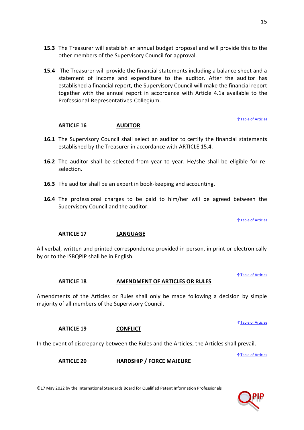- **15.3** The Treasurer will establish an annual budget proposal and will provide this to the other members of the Supervisory Council for approval.
- <span id="page-14-5"></span>**15.4** The Treasurer will provide the financial statements including a balance sheet and a statement of income and expenditure to the auditor. After the auditor has established a financial report, the Supervisory Council will make the financial report together with the annual report in accordance with Article [4.1a](#page-4-2) available to the Professional Representatives Collegium.

↑[Table of Articles](#page-1-0)

## **ARTICLE 16 AUDITOR**

- <span id="page-14-0"></span>**16.1** The Supervisory Council shall select an auditor to certify the financial statements established by the Treasurer in accordance with ARTICLE [15.4.](#page-14-5)
- **16.2** The auditor shall be selected from year to year. He/she shall be eligible for reselection.
- **16.3** The auditor shall be an expert in book-keeping and accounting.
- **16.4** The professional charges to be paid to him/her will be agreed between the Supervisory Council and the auditor.

↑[Table of Articles](#page-1-0)

## **ARTICLE 17 LANGUAGE**

<span id="page-14-1"></span>All verbal, written and printed correspondence provided in person, in print or electronically by or to the ISBQPIP shall be in English.

↑[Table of Articles](#page-1-0)

#### **ARTICLE 18 AMENDMENT OF ARTICLES OR RULES**

<span id="page-14-2"></span>Amendments of the Articles or Rules shall only be made following a decision by simple majority of all members of the Supervisory Council.

↑[Table of Articles](#page-1-0)

## **ARTICLE 19 CONFLICT**

<span id="page-14-4"></span><span id="page-14-3"></span>In the event of discrepancy between the Rules and the Articles, the Articles shall prevail.

↑[Table of Articles](#page-1-0)

**ARTICLE 20 HARDSHIP / FORCE MAJEURE**

©17 May 2022 by the International Standards Board for Qualified Patent Information Professionals